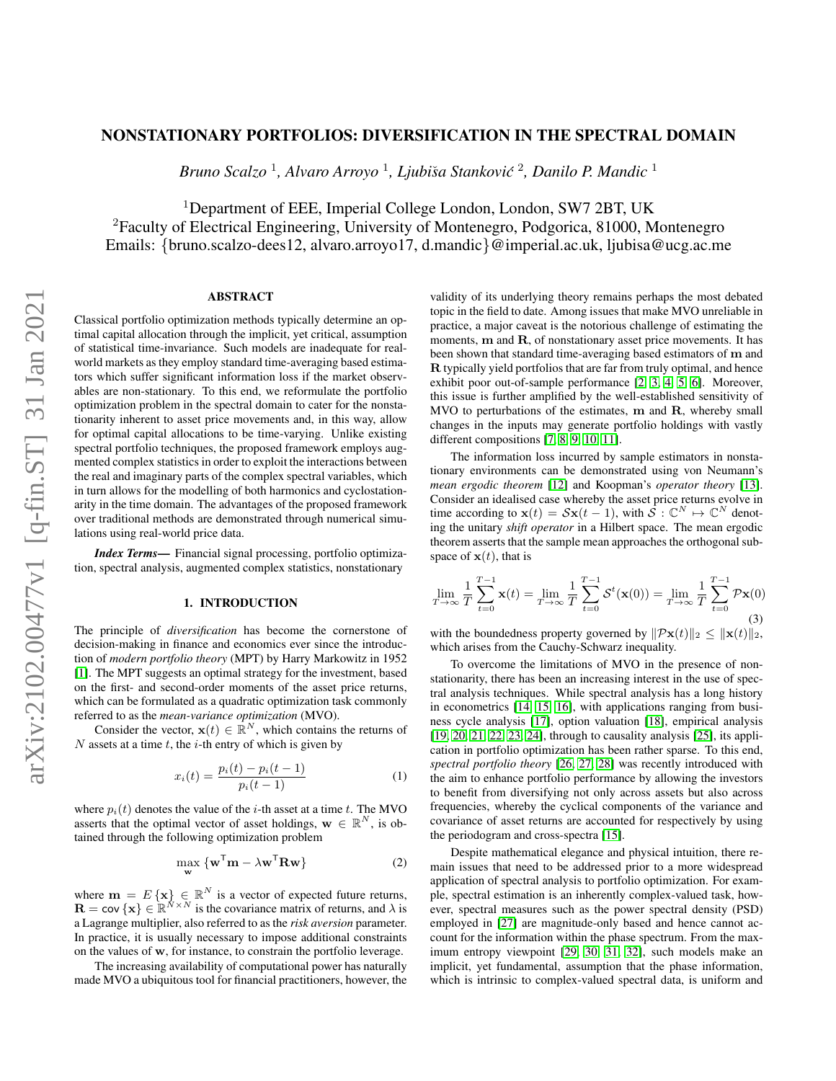# arXiv:2102.00477v1 [q-fin.ST] 31 Jan 2021 arXiv:2102.00477v1 [q-fin.ST] 31 Jan 2021

# NONSTATIONARY PORTFOLIOS: DIVERSIFICATION IN THE SPECTRAL DOMAIN

*Bruno Scalzo* <sup>1</sup> *, Alvaro Arroyo* <sup>1</sup> *, Ljubi*ˇ*sa Stankovic´* 2 *, Danilo P. Mandic* <sup>1</sup>

<sup>1</sup>Department of EEE, Imperial College London, London, SW7 2BT, UK <sup>2</sup>Faculty of Electrical Engineering, University of Montenegro, Podgorica, 81000, Montenegro Emails: {bruno.scalzo-dees12, alvaro.arroyo17, d.mandic}@imperial.ac.uk, ljubisa@ucg.ac.me

# ABSTRACT

Classical portfolio optimization methods typically determine an optimal capital allocation through the implicit, yet critical, assumption of statistical time-invariance. Such models are inadequate for realworld markets as they employ standard time-averaging based estimators which suffer significant information loss if the market observables are non-stationary. To this end, we reformulate the portfolio optimization problem in the spectral domain to cater for the nonstationarity inherent to asset price movements and, in this way, allow for optimal capital allocations to be time-varying. Unlike existing spectral portfolio techniques, the proposed framework employs augmented complex statistics in order to exploit the interactions between the real and imaginary parts of the complex spectral variables, which in turn allows for the modelling of both harmonics and cyclostationarity in the time domain. The advantages of the proposed framework over traditional methods are demonstrated through numerical simulations using real-world price data.

*Index Terms*— Financial signal processing, portfolio optimization, spectral analysis, augmented complex statistics, nonstationary

# 1. INTRODUCTION

The principle of *diversification* has become the cornerstone of decision-making in finance and economics ever since the introduction of *modern portfolio theory* (MPT) by Harry Markowitz in 1952 [\[1\]](#page-4-0). The MPT suggests an optimal strategy for the investment, based on the first- and second-order moments of the asset price returns, which can be formulated as a quadratic optimization task commonly referred to as the *mean-variance optimization* (MVO).

Consider the vector,  $\mathbf{x}(t) \in \mathbb{R}^N$ , which contains the returns of  $N$  assets at a time  $t$ , the  $i$ -th entry of which is given by

$$
x_i(t) = \frac{p_i(t) - p_i(t-1)}{p_i(t-1)}
$$
 (1)

where  $p_i(t)$  denotes the value of the *i*-th asset at a time *t*. The MVO asserts that the optimal vector of asset holdings,  $\mathbf{w} \in \mathbb{R}^{N}$ , is obtained through the following optimization problem

<span id="page-0-0"></span>
$$
\max_{\mathbf{w}} \left\{ \mathbf{w}^{\mathsf{T}} \mathbf{m} - \lambda \mathbf{w}^{\mathsf{T}} \mathbf{R} \mathbf{w} \right\} \tag{2}
$$

where  $\mathbf{m} = E\{\mathbf{x}\} \in \mathbb{R}^N$  is a vector of expected future returns,  $\mathbf{R} = \text{cov} \{ \mathbf{x} \} \in \mathbb{R}^{N \times N}$  is the covariance matrix of returns, and  $\lambda$  is a Lagrange multiplier, also referred to as the *risk aversion* parameter. In practice, it is usually necessary to impose additional constraints on the values of w, for instance, to constrain the portfolio leverage.

The increasing availability of computational power has naturally made MVO a ubiquitous tool for financial practitioners, however, the validity of its underlying theory remains perhaps the most debated topic in the field to date. Among issues that make MVO unreliable in practice, a major caveat is the notorious challenge of estimating the moments, m and R, of nonstationary asset price movements. It has been shown that standard time-averaging based estimators of m and R typically yield portfolios that are far from truly optimal, and hence exhibit poor out-of-sample performance [\[2,](#page-4-1) [3,](#page-4-2) [4,](#page-4-3) [5,](#page-4-4) [6\]](#page-4-5). Moreover, this issue is further amplified by the well-established sensitivity of MVO to perturbations of the estimates, m and R, whereby small changes in the inputs may generate portfolio holdings with vastly different compositions [\[7,](#page-4-6) [8,](#page-4-7) [9,](#page-4-8) [10,](#page-4-9) [11\]](#page-4-10).

The information loss incurred by sample estimators in nonstationary environments can be demonstrated using von Neumann's *mean ergodic theorem* [\[12\]](#page-4-11) and Koopman's *operator theory* [\[13\]](#page-4-12). Consider an idealised case whereby the asset price returns evolve in time according to  $\mathbf{x}(t) = S\mathbf{x}(t-1)$ , with  $\mathcal{S}: \mathbb{C}^N \mapsto \mathbb{C}^N$  denoting the unitary *shift operator* in a Hilbert space. The mean ergodic theorem asserts that the sample mean approaches the orthogonal subspace of  $x(t)$ , that is

$$
\lim_{T \to \infty} \frac{1}{T} \sum_{t=0}^{T-1} \mathbf{x}(t) = \lim_{T \to \infty} \frac{1}{T} \sum_{t=0}^{T-1} \mathcal{S}^t(\mathbf{x}(0)) = \lim_{T \to \infty} \frac{1}{T} \sum_{t=0}^{T-1} \mathcal{P}\mathbf{x}(0)
$$
\n(3)

with the boundedness property governed by  $\|\mathcal{P} \mathbf{x}(t)\|_2 < \|\mathbf{x}(t)\|_2$ , which arises from the Cauchy-Schwarz inequality.

To overcome the limitations of MVO in the presence of nonstationarity, there has been an increasing interest in the use of spectral analysis techniques. While spectral analysis has a long history in econometrics [\[14,](#page-4-13) [15,](#page-4-14) [16\]](#page-4-15), with applications ranging from business cycle analysis [\[17\]](#page-4-16), option valuation [\[18\]](#page-4-17), empirical analysis [\[19,](#page-4-18) [20,](#page-4-19) [21,](#page-4-20) [22,](#page-4-21) [23,](#page-4-22) [24\]](#page-4-23), through to causality analysis [\[25\]](#page-4-24), its application in portfolio optimization has been rather sparse. To this end, *spectral portfolio theory* [\[26,](#page-4-25) [27,](#page-4-26) [28\]](#page-4-27) was recently introduced with the aim to enhance portfolio performance by allowing the investors to benefit from diversifying not only across assets but also across frequencies, whereby the cyclical components of the variance and covariance of asset returns are accounted for respectively by using the periodogram and cross-spectra [\[15\]](#page-4-14).

Despite mathematical elegance and physical intuition, there remain issues that need to be addressed prior to a more widespread application of spectral analysis to portfolio optimization. For example, spectral estimation is an inherently complex-valued task, however, spectral measures such as the power spectral density (PSD) employed in [\[27\]](#page-4-26) are magnitude-only based and hence cannot account for the information within the phase spectrum. From the maximum entropy viewpoint [\[29,](#page-4-28) [30,](#page-4-29) [31,](#page-4-30) [32\]](#page-4-31), such models make an implicit, yet fundamental, assumption that the phase information, which is intrinsic to complex-valued spectral data, is uniform and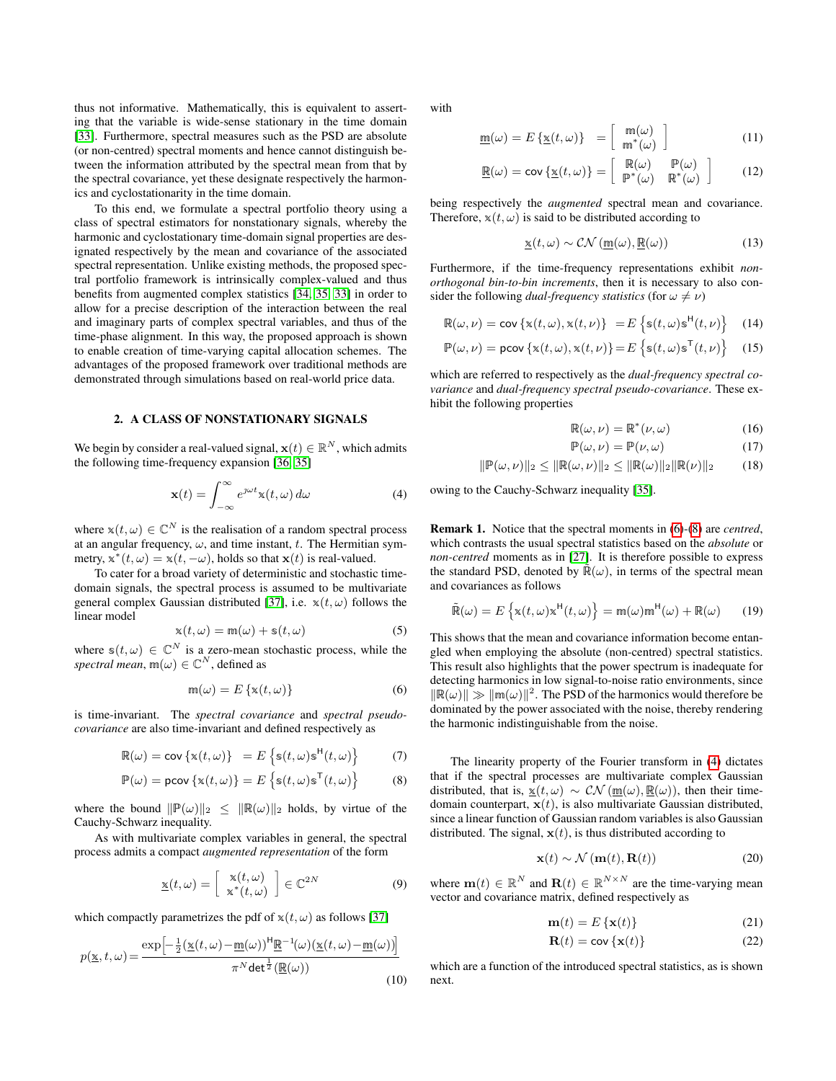thus not informative. Mathematically, this is equivalent to asserting that the variable is wide-sense stationary in the time domain [\[33\]](#page-4-32). Furthermore, spectral measures such as the PSD are absolute (or non-centred) spectral moments and hence cannot distinguish between the information attributed by the spectral mean from that by the spectral covariance, yet these designate respectively the harmonics and cyclostationarity in the time domain.

To this end, we formulate a spectral portfolio theory using a class of spectral estimators for nonstationary signals, whereby the harmonic and cyclostationary time-domain signal properties are designated respectively by the mean and covariance of the associated spectral representation. Unlike existing methods, the proposed spectral portfolio framework is intrinsically complex-valued and thus benefits from augmented complex statistics [\[34,](#page-4-33) [35,](#page-4-34) [33\]](#page-4-32) in order to allow for a precise description of the interaction between the real and imaginary parts of complex spectral variables, and thus of the time-phase alignment. In this way, the proposed approach is shown to enable creation of time-varying capital allocation schemes. The advantages of the proposed framework over traditional methods are demonstrated through simulations based on real-world price data.

### 2. A CLASS OF NONSTATIONARY SIGNALS

We begin by consider a real-valued signal,  $\mathbf{x}(t) \in \mathbb{R}^N$ , which admits the following time-frequency expansion [\[36,](#page-4-35) [35\]](#page-4-34)

<span id="page-1-2"></span>
$$
\mathbf{x}(t) = \int_{-\infty}^{\infty} e^{\jmath\omega t} \mathbf{x}(t, \omega) \, d\omega \tag{4}
$$

where  $x(t, \omega) \in \mathbb{C}^N$  is the realisation of a random spectral process at an angular frequency,  $\omega$ , and time instant, t. The Hermitian symmetry,  $\mathbf{x}^*(t, \omega) = \mathbf{x}(t, -\omega)$ , holds so that  $\mathbf{x}(t)$  is real-valued.

To cater for a broad variety of deterministic and stochastic timedomain signals, the spectral process is assumed to be multivariate general complex Gaussian distributed [\[37\]](#page-4-36), i.e.  $x(t, \omega)$  follows the linear model

$$
\mathbf{x}(t,\omega) = \mathbf{m}(\omega) + \mathbf{s}(t,\omega) \tag{5}
$$

where  $s(t, \omega) \in \mathbb{C}^N$  is a zero-mean stochastic process, while the *spectral mean*,  $m(\omega) \in \mathbb{C}^N$ , defined as

<span id="page-1-0"></span>
$$
\mathfrak{m}(\omega) = E\left\{ \mathbf{x}(t, \omega) \right\} \tag{6}
$$

is time-invariant. The *spectral covariance* and *spectral pseudocovariance* are also time-invariant and defined respectively as

$$
\mathbb{R}(\omega) = \text{cov}\left\{\mathbf{x}(t,\omega)\right\} = E\left\{\mathbf{s}(t,\omega)\mathbf{s}^{\mathsf{H}}(t,\omega)\right\} \tag{7}
$$

$$
\mathbb{P}(\omega) = \text{pcov}\left\{\mathbf{x}(t,\omega)\right\} = E\left\{\mathbf{s}(t,\omega)\mathbf{s}^{\mathsf{T}}(t,\omega)\right\} \tag{8}
$$

where the bound  $\|\mathbb{P}(\omega)\|_2 \leq \|\mathbb{R}(\omega)\|_2$  holds, by virtue of the Cauchy-Schwarz inequality.

As with multivariate complex variables in general, the spectral process admits a compact *augmented representation* of the form

$$
\underline{\mathbf{x}}(t,\omega) = \left[\begin{array}{c} \mathbf{x}(t,\omega) \\ \mathbf{x}^*(t,\omega) \end{array}\right] \in \mathbb{C}^{2N} \tag{9}
$$

which compactly parametrizes the pdf of  $x(t, \omega)$  as follows [\[37\]](#page-4-36)

$$
p(\underline{\mathbf{x}},t,\omega) = \frac{\exp\left[-\frac{1}{2}(\underline{\mathbf{x}}(t,\omega) - \underline{\mathbf{m}}(\omega))^\mathsf{H}\underline{\mathbf{R}}^{-1}(\omega)(\underline{\mathbf{x}}(t,\omega) - \underline{\mathbf{m}}(\omega))\right]}{\pi^N \det^{\frac{1}{2}}(\underline{\mathbf{R}}(\omega))}
$$
(10)

with

$$
\underline{\mathbf{m}}(\omega) = E\left\{ \underline{\mathbf{x}}(t,\omega) \right\} = \begin{bmatrix} \mathbf{m}(\omega) \\ \mathbf{m}^*(\omega) \end{bmatrix}
$$
(11)

$$
\underline{\mathbb{R}}(\omega) = \text{cov}\left\{\underline{\mathbb{x}}(t,\omega)\right\} = \begin{bmatrix} \mathbb{R}(\omega) & \mathbb{P}(\omega) \\ \mathbb{P}^*(\omega) & \mathbb{R}^*(\omega) \end{bmatrix} \tag{12}
$$

being respectively the *augmented* spectral mean and covariance. Therefore,  $x(t, \omega)$  is said to be distributed according to

$$
\underline{\mathbf{x}}(t,\omega) \sim \mathcal{CN}\left(\underline{\mathbf{m}}(\omega), \underline{\mathbf{R}}(\omega)\right) \tag{13}
$$

Furthermore, if the time-frequency representations exhibit *nonorthogonal bin-to-bin increments*, then it is necessary to also consider the following *dual-frequency statistics* (for  $\omega \neq \nu$ )

$$
\mathbb{R}(\omega,\nu) = \text{cov}\left\{\mathbf{x}(t,\omega),\mathbf{x}(t,\nu)\right\} = E\left\{\mathbf{s}(t,\omega)\mathbf{s}^{\mathsf{H}}(t,\nu)\right\} \quad (14)
$$

$$
\mathbb{P}(\omega,\nu) = \text{pcov}\left\{ \mathbf{x}(t,\omega), \mathbf{x}(t,\nu) \right\} = E\left\{ \mathbf{s}(t,\omega) \mathbf{s}^{\mathsf{T}}(t,\nu) \right\} \quad (15)
$$

which are referred to respectively as the *dual-frequency spectral covariance* and *dual-frequency spectral pseudo-covariance*. These exhibit the following properties

$$
\mathbb{R}(\omega,\nu) = \mathbb{R}^*(\nu,\omega) \tag{16}
$$

$$
\mathbb{P}(\omega,\nu) = \mathbb{P}(\nu,\omega) \tag{17}
$$

$$
\|\mathbb{P}(\omega,\nu)\|_2 \le \|\mathbb{R}(\omega,\nu)\|_2 \le \|\mathbb{R}(\omega)\|_2 \|\mathbb{R}(\nu)\|_2 \tag{18}
$$

owing to the Cauchy-Schwarz inequality [\[35\]](#page-4-34).

<span id="page-1-5"></span>Remark 1. Notice that the spectral moments in [\(6\)](#page-1-0)-[\(8\)](#page-1-1) are *centred*, which contrasts the usual spectral statistics based on the *absolute* or *non-centred* moments as in [\[27\]](#page-4-26). It is therefore possible to express the standard PSD, denoted by  $\mathbb{R}(\omega)$ , in terms of the spectral mean and covariances as follows

$$
\tilde{\mathbb{R}}(\omega) = E\left\{ \mathbf{x}(t,\omega) \mathbf{x}^{\mathsf{H}}(t,\omega) \right\} = \mathbf{m}(\omega) \mathbf{m}^{\mathsf{H}}(\omega) + \mathbf{\mathbb{R}}(\omega) \qquad (19)
$$

This shows that the mean and covariance information become entangled when employing the absolute (non-centred) spectral statistics. This result also highlights that the power spectrum is inadequate for detecting harmonics in low signal-to-noise ratio environments, since  $\|\mathbb{R}(\omega)\| \gg \|\mathfrak{m}(\omega)\|^2$ . The PSD of the harmonics would therefore be dominated by the power associated with the noise, thereby rendering the harmonic indistinguishable from the noise.

<span id="page-1-1"></span>The linearity property of the Fourier transform in [\(4\)](#page-1-2) dictates that if the spectral processes are multivariate complex Gaussian distributed, that is,  $\underline{\mathbf{x}}(t,\omega) \sim \mathcal{CN}(\underline{\mathbf{m}}(\omega), \underline{\mathbf{R}}(\omega))$ , then their timedomain counterpart,  $\mathbf{x}(t)$ , is also multivariate Gaussian distributed, since a linear function of Gaussian random variables is also Gaussian distributed. The signal,  $x(t)$ , is thus distributed according to

$$
\mathbf{x}(t) \sim \mathcal{N}\left(\mathbf{m}(t), \mathbf{R}(t)\right) \tag{20}
$$

where  $\mathbf{m}(t) \in \mathbb{R}^N$  and  $\mathbf{R}(t) \in \mathbb{R}^{N \times N}$  are the time-varying mean vector and covariance matrix, defined respectively as

$$
\mathbf{m}(t) = E\left\{ \mathbf{x}(t) \right\} \tag{21}
$$

<span id="page-1-4"></span><span id="page-1-3"></span>
$$
\mathbf{R}(t) = \mathbf{cov}\left\{\mathbf{x}(t)\right\} \tag{22}
$$

which are a function of the introduced spectral statistics, as is shown next.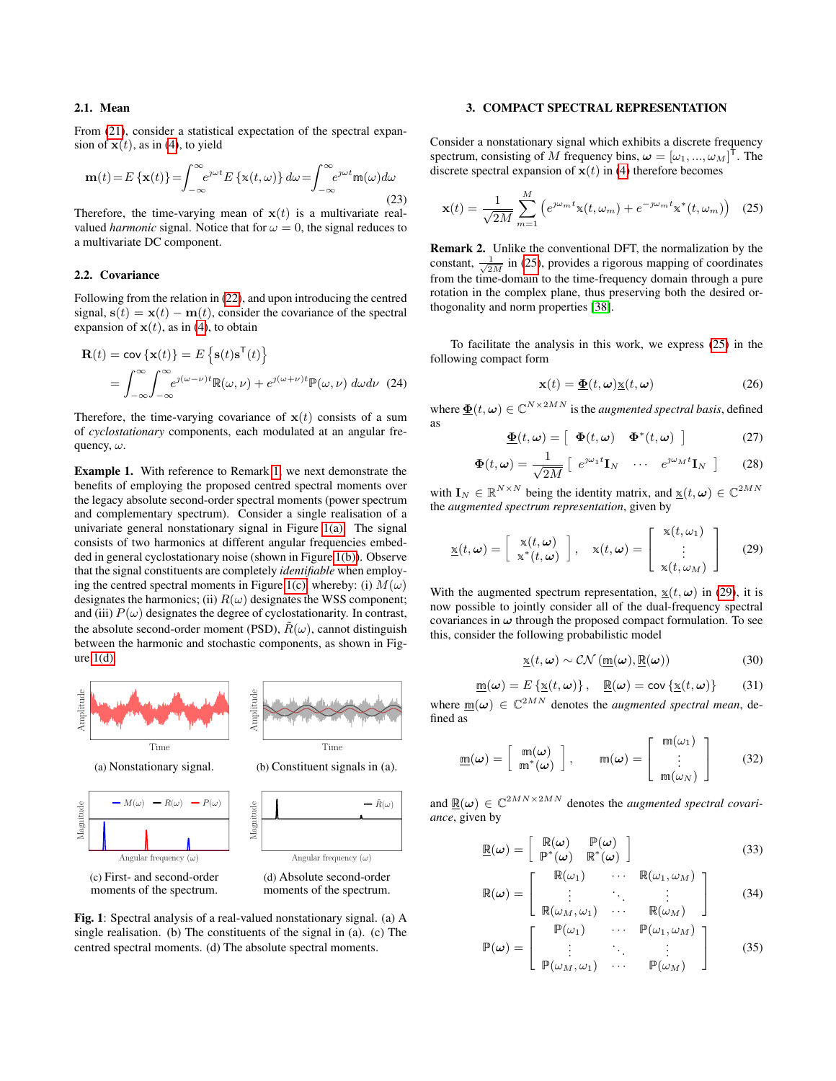### 2.1. Mean

From [\(21\)](#page-1-3), consider a statistical expectation of the spectral expansion of  $x(t)$ , as in [\(4\)](#page-1-2), to yield

$$
\mathbf{m}(t) = E\left\{ \mathbf{x}(t) \right\} = \int_{-\infty}^{\infty} e^{j\omega t} E\left\{ \mathbf{x}(t,\omega) \right\} d\omega = \int_{-\infty}^{\infty} e^{j\omega t} \mathbf{m}(\omega) d\omega \tag{23}
$$

Therefore, the time-varying mean of  $x(t)$  is a multivariate realvalued *harmonic* signal. Notice that for  $\omega = 0$ , the signal reduces to a multivariate DC component.

### 2.2. Covariance

Following from the relation in [\(22\)](#page-1-4), and upon introducing the centred signal,  $s(t) = x(t) - m(t)$ , consider the covariance of the spectral expansion of  $x(t)$ , as in [\(4\)](#page-1-2), to obtain

$$
\mathbf{R}(t) = \mathbf{cov} \{ \mathbf{x}(t) \} = E \left\{ \mathbf{s}(t) \mathbf{s}^{\mathsf{T}}(t) \right\}
$$

$$
= \int_{-\infty}^{\infty} \int_{-\infty}^{\infty} e^{j(\omega - \nu)t} \mathbb{R}(\omega, \nu) + e^{j(\omega + \nu)t} \mathbb{P}(\omega, \nu) \, d\omega d\nu \tag{24}
$$

Therefore, the time-varying covariance of  $x(t)$  consists of a sum of *cyclostationary* components, each modulated at an angular frequency,  $\omega$ .

Example 1. With reference to Remark [1,](#page-1-5) we next demonstrate the benefits of employing the proposed centred spectral moments over the legacy absolute second-order spectral moments (power spectrum and complementary spectrum). Consider a single realisation of a univariate general nonstationary signal in Figure [1\(a\).](#page-2-0) The signal consists of two harmonics at different angular frequencies embedded in general cyclostationary noise (shown in Figure [1\(b\)\)](#page-2-0). Observe that the signal constituents are completely *identifiable* when employ-ing the centred spectral moments in Figure [1\(c\),](#page-2-0) whereby: (i)  $M(\omega)$ designates the harmonics; (ii)  $R(\omega)$  designates the WSS component; and (iii)  $P(\omega)$  designates the degree of cyclostationarity. In contrast, the absolute second-order moment (PSD),  $\tilde{R}(\omega)$ , cannot distinguish between the harmonic and stochastic components, as shown in Figure  $1(d)$ .

<span id="page-2-0"></span>

Fig. 1: Spectral analysis of a real-valued nonstationary signal. (a) A single realisation. (b) The constituents of the signal in (a). (c) The centred spectral moments. (d) The absolute spectral moments.

### 3. COMPACT SPECTRAL REPRESENTATION

Consider a nonstationary signal which exhibits a discrete frequency spectrum, consisting of M frequency bins,  $\boldsymbol{\omega} = [\omega_1, ..., \omega_M]$ T . The discrete spectral expansion of  $x(t)$  in [\(4\)](#page-1-2) therefore becomes

<span id="page-2-1"></span>
$$
\mathbf{x}(t) = \frac{1}{\sqrt{2M}} \sum_{m=1}^{M} \left( e^{\jmath \omega_m t} \mathbf{x}(t, \omega_m) + e^{-\jmath \omega_m t} \mathbf{x}^*(t, \omega_m) \right)
$$
 (25)

Remark 2. Unlike the conventional DFT, the normalization by the constant,  $\frac{1}{\sqrt{2M}}$  in [\(25\)](#page-2-1), provides a rigorous mapping of coordinates from the time-domain to the time-frequency domain through a pure rotation in the complex plane, thus preserving both the desired orthogonality and norm properties [\[38\]](#page-4-37).

To facilitate the analysis in this work, we express [\(25\)](#page-2-1) in the following compact form

<span id="page-2-3"></span>
$$
\mathbf{x}(t) = \underline{\mathbf{\Phi}}(t, \omega) \underline{\mathbf{x}}(t, \omega) \tag{26}
$$

where  $\underline{\mathbf{\Phi}}(t,\omega) \in \mathbb{C}^{N \times 2MN}$  is the *augmented spectral basis*, defined as

$$
\underline{\mathbf{\Phi}}(t,\omega) = \left[ \begin{array}{cc} \mathbf{\Phi}(t,\omega) & \mathbf{\Phi}^*(t,\omega) \end{array} \right] \tag{27}
$$

$$
\mathbf{\Phi}(t,\omega) = \frac{1}{\sqrt{2M}} \left[ e^{\jmath \omega_1 t} \mathbf{I}_N \quad \cdots \quad e^{\jmath \omega_M t} \mathbf{I}_N \right] \tag{28}
$$

with  $\mathbf{I}_N \in \mathbb{R}^{N \times N}$  being the identity matrix, and  $\underline{\mathbf{x}}(t, \boldsymbol{\omega}) \in \mathbb{C}^{2MN}$ the *augmented spectrum representation*, given by

<span id="page-2-2"></span>
$$
\underline{\mathbf{x}}(t,\boldsymbol{\omega}) = \begin{bmatrix} \mathbf{x}(t,\boldsymbol{\omega}) \\ \mathbf{x}^*(t,\boldsymbol{\omega}) \end{bmatrix}, \quad \mathbf{x}(t,\boldsymbol{\omega}) = \begin{bmatrix} \mathbf{x}(t,\omega_1) \\ \vdots \\ \mathbf{x}(t,\omega_M) \end{bmatrix}
$$
(29)

With the augmented spectrum representation,  $x(t, \omega)$  in [\(29\)](#page-2-2), it is now possible to jointly consider all of the dual-frequency spectral covariances in  $\omega$  through the proposed compact formulation. To see this, consider the following probabilistic model

$$
\underline{\mathbf{x}}(t,\omega) \sim \mathcal{CN}\left(\underline{\mathbf{m}}(\omega), \underline{\mathbf{R}}(\omega)\right) \tag{30}
$$

<span id="page-2-4"></span>
$$
\underline{\mathbf{m}}(\boldsymbol{\omega}) = E\left\{ \underline{\mathbf{x}}(t, \boldsymbol{\omega}) \right\}, \quad \underline{\mathbf{R}}(\boldsymbol{\omega}) = \text{cov}\left\{ \underline{\mathbf{x}}(t, \boldsymbol{\omega}) \right\} \tag{31}
$$

where  $\underline{m}(\omega) \in \mathbb{C}^{2MN}$  denotes the *augmented spectral mean*, defined as

$$
\underline{\mathbf{m}}(\boldsymbol{\omega}) = \left[ \begin{array}{c} \mathbf{m}(\boldsymbol{\omega}) \\ \mathbf{m}^*(\boldsymbol{\omega}) \end{array} \right], \qquad \mathbf{m}(\boldsymbol{\omega}) = \left[ \begin{array}{c} \mathbf{m}(\omega_1) \\ \vdots \\ \mathbf{m}(\omega_N) \end{array} \right] \qquad (32)
$$

and  $\mathbb{R}(\omega) \in \mathbb{C}^{2MN \times 2MN}$  denotes the *augmented spectral covariance*, given by

$$
\underline{\mathbb{R}}(\boldsymbol{\omega}) = \left[ \begin{array}{cc} \mathbb{R}(\boldsymbol{\omega}) & \mathbb{P}(\boldsymbol{\omega}) \\ \mathbb{P}^*(\boldsymbol{\omega}) & \mathbb{R}^*(\boldsymbol{\omega}) \end{array} \right] \tag{33}
$$

$$
\mathbb{R}(\omega) = \left[ \begin{array}{ccc} \mathbb{R}(\omega_1) & \cdots & \mathbb{R}(\omega_1, \omega_M) \\ \vdots & \ddots & \vdots \\ \mathbb{R}(\omega_1, \omega_2) & \cdots & \mathbb{R}(\omega_M) \end{array} \right] \tag{34}
$$

$$
\begin{bmatrix}\n\mathbb{R}(\omega_M, \omega_1) & \cdots & \mathbb{R}(\omega_M) \\
\mathbb{P}(\omega_1) & \cdots & \mathbb{P}(\omega_1, \omega_M)\n\end{bmatrix}
$$

$$
\mathbb{P}(\boldsymbol{\omega}) = \left[ \begin{array}{ccc} \vdots & \ddots & \vdots \\ \mathbb{P}(\omega_M, \omega_1) & \cdots & \mathbb{P}(\omega_M) \end{array} \right] \tag{35}
$$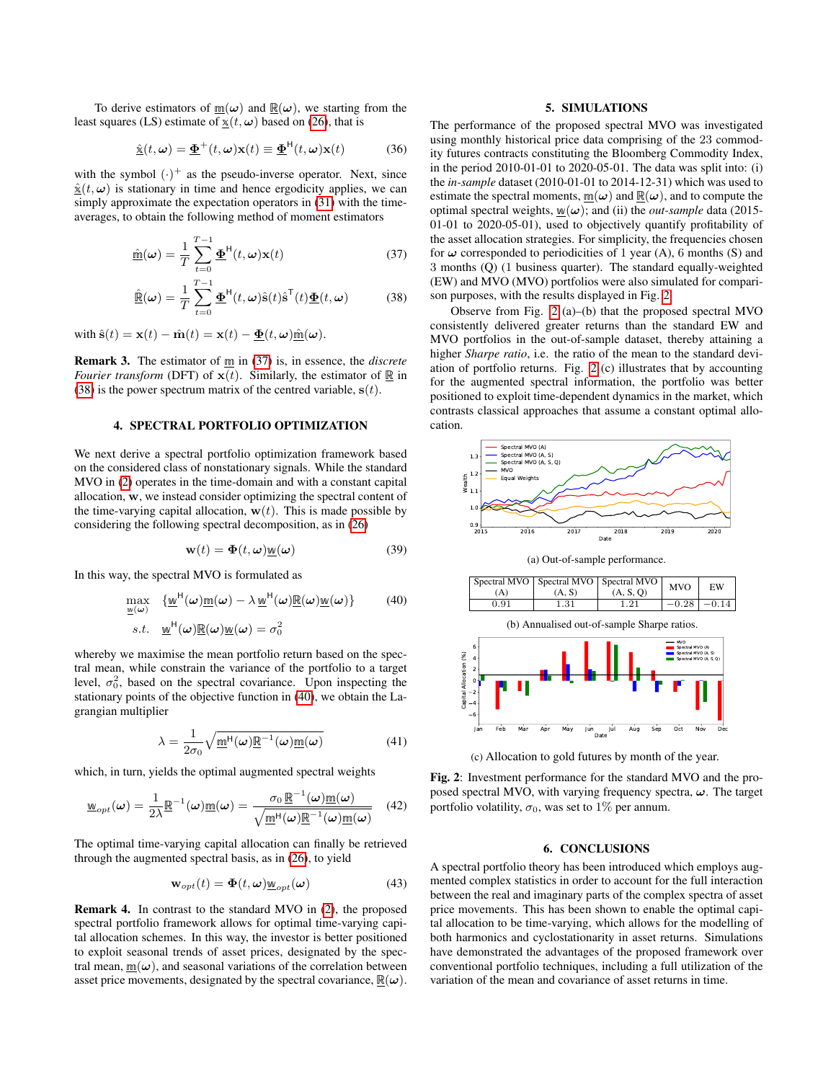To derive estimators of  $m(\omega)$  and  $\mathbb{R}(\omega)$ , we starting from the least squares (LS) estimate of  $x(t, \omega)$  based on [\(26\)](#page-2-3), that is

$$
\underline{\hat{\mathbf{x}}}(t,\omega) = \underline{\mathbf{\Phi}}^{+}(t,\omega)\mathbf{x}(t) \equiv \underline{\mathbf{\Phi}}^{H}(t,\omega)\mathbf{x}(t) \quad (36)
$$

with the symbol  $(\cdot)^+$  as the pseudo-inverse operator. Next, since  $\hat{\mathbf{x}}(t, \omega)$  is stationary in time and hence ergodicity applies, we can simply approximate the expectation operators in [\(31\)](#page-2-4) with the timeaverages, to obtain the following method of moment estimators

$$
\underline{\hat{\mathbf{m}}}(\boldsymbol{\omega}) = \frac{1}{T} \sum_{t=0}^{T-1} \underline{\boldsymbol{\Phi}}^{\mathsf{H}}(t, \boldsymbol{\omega}) \mathbf{x}(t)
$$
(37)  

$$
\underline{\hat{\mathbf{R}}}(\boldsymbol{\omega}) = \frac{1}{T} \sum_{t=0}^{T-1} \underline{\boldsymbol{\Phi}}^{\mathsf{H}}(t, \boldsymbol{\omega}) \hat{\mathbf{s}}(t) \hat{\mathbf{s}}^{\mathsf{T}}(t) \underline{\boldsymbol{\Phi}}(t, \boldsymbol{\omega})
$$
(38)

with  $\hat{\mathbf{s}}(t) = \mathbf{x}(t) - \hat{\mathbf{m}}(t) = \mathbf{x}(t) - \underline{\mathbf{\Phi}}(t, \omega) \hat{\mathbf{m}}(\omega)$ .

Remark 3. The estimator of m in [\(37\)](#page-3-0) is, in essence, the *discrete Fourier transform* (DFT) of  $\mathbf{x}(t)$ . Similarly, the estimator of  $\underline{\mathbb{R}}$  in [\(38\)](#page-3-1) is the power spectrum matrix of the centred variable,  $s(t)$ .

# 4. SPECTRAL PORTFOLIO OPTIMIZATION

We next derive a spectral portfolio optimization framework based on the considered class of nonstationary signals. While the standard MVO in [\(2\)](#page-0-0) operates in the time-domain and with a constant capital allocation, w, we instead consider optimizing the spectral content of the time-varying capital allocation,  $w(t)$ . This is made possible by considering the following spectral decomposition, as in [\(26\)](#page-2-3)

$$
\mathbf{w}(t) = \mathbf{\Phi}(t, \omega) \underline{\mathbf{w}}(\omega) \tag{39}
$$

In this way, the spectral MVO is formulated as

$$
\max_{\underline{w}(\omega)} \{ \underline{w}^H(\omega) \underline{m}(\omega) - \lambda \underline{w}^H(\omega) \underline{R}(\omega) \underline{w}(\omega) \} \qquad (40)
$$
  
s.t. 
$$
\underline{w}^H(\omega) \underline{R}(\omega) \underline{w}(\omega) = \sigma_0^2
$$

whereby we maximise the mean portfolio return based on the spectral mean, while constrain the variance of the portfolio to a target level,  $\sigma_0^2$ , based on the spectral covariance. Upon inspecting the stationary points of the objective function in [\(40\)](#page-3-2), we obtain the Lagrangian multiplier

$$
\lambda = \frac{1}{2\sigma_0} \sqrt{\underline{\mathfrak{m}}^{\mathsf{H}}(\omega) \underline{\mathbb{R}}^{-1}(\omega) \underline{\mathfrak{m}}(\omega)}
$$
(41)

which, in turn, yields the optimal augmented spectral weights

$$
\underline{\mathbf{w}}_{opt}(\boldsymbol{\omega}) = \frac{1}{2\lambda} \underline{\mathbb{R}}^{-1}(\boldsymbol{\omega}) \underline{\mathbf{m}}(\boldsymbol{\omega}) = \frac{\sigma_0 \underline{\mathbb{R}}^{-1}(\boldsymbol{\omega}) \underline{\mathbf{m}}(\boldsymbol{\omega})}{\sqrt{\underline{\mathbf{m}}^{\mathsf{H}}(\boldsymbol{\omega}) \underline{\mathbb{R}}^{-1}(\boldsymbol{\omega}) \underline{\mathbf{m}}(\boldsymbol{\omega})}} \quad (42)
$$

The optimal time-varying capital allocation can finally be retrieved through the augmented spectral basis, as in [\(26\)](#page-2-3), to yield

$$
\mathbf{w}_{opt}(t) = \mathbf{\Phi}(t, \omega) \underline{\mathbf{w}}_{opt}(\omega)
$$
 (43)

Remark 4. In contrast to the standard MVO in [\(2\)](#page-0-0), the proposed spectral portfolio framework allows for optimal time-varying capital allocation schemes. In this way, the investor is better positioned to exploit seasonal trends of asset prices, designated by the spectral mean,  $m(\omega)$ , and seasonal variations of the correlation between asset price movements, designated by the spectral covariance,  $\mathbb{R}(\omega)$ .

### 5. SIMULATIONS

The performance of the proposed spectral MVO was investigated using monthly historical price data comprising of the 23 commodity futures contracts constituting the Bloomberg Commodity Index, in the period 2010-01-01 to 2020-05-01. The data was split into: (i) the *in-sample* dataset (2010-01-01 to 2014-12-31) which was used to estimate the spectral moments,  $\underline{m}(\omega)$  and  $\underline{\mathbb{R}}(\omega)$ , and to compute the optimal spectral weights,  $\underline{w}(\omega)$ ; and (ii) the *out-sample* data (2015-01-01 to 2020-05-01), used to objectively quantify profitability of the asset allocation strategies. For simplicity, the frequencies chosen for  $\omega$  corresponded to periodicities of 1 year (A), 6 months (S) and 3 months (Q) (1 business quarter). The standard equally-weighted (EW) and MVO (MVO) portfolios were also simulated for comparison purposes, with the results displayed in Fig. [2.](#page-3-3)

<span id="page-3-1"></span><span id="page-3-0"></span>Observe from Fig. [2](#page-3-3) (a)–(b) that the proposed spectral MVO consistently delivered greater returns than the standard EW and MVO portfolios in the out-of-sample dataset, thereby attaining a higher *Sharpe ratio*, i.e. the ratio of the mean to the standard deviation of portfolio returns. Fig. [2](#page-3-3) (c) illustrates that by accounting for the augmented spectral information, the portfolio was better positioned to exploit time-dependent dynamics in the market, which contrasts classical approaches that assume a constant optimal allocation.

<span id="page-3-3"></span>

<span id="page-3-2"></span>

(c) Allocation to gold futures by month of the year.

Fig. 2: Investment performance for the standard MVO and the proposed spectral MVO, with varying frequency spectra,  $\omega$ . The target portfolio volatility,  $\sigma_0$ , was set to 1% per annum.

# 6. CONCLUSIONS

A spectral portfolio theory has been introduced which employs augmented complex statistics in order to account for the full interaction between the real and imaginary parts of the complex spectra of asset price movements. This has been shown to enable the optimal capital allocation to be time-varying, which allows for the modelling of both harmonics and cyclostationarity in asset returns. Simulations have demonstrated the advantages of the proposed framework over conventional portfolio techniques, including a full utilization of the variation of the mean and covariance of asset returns in time.